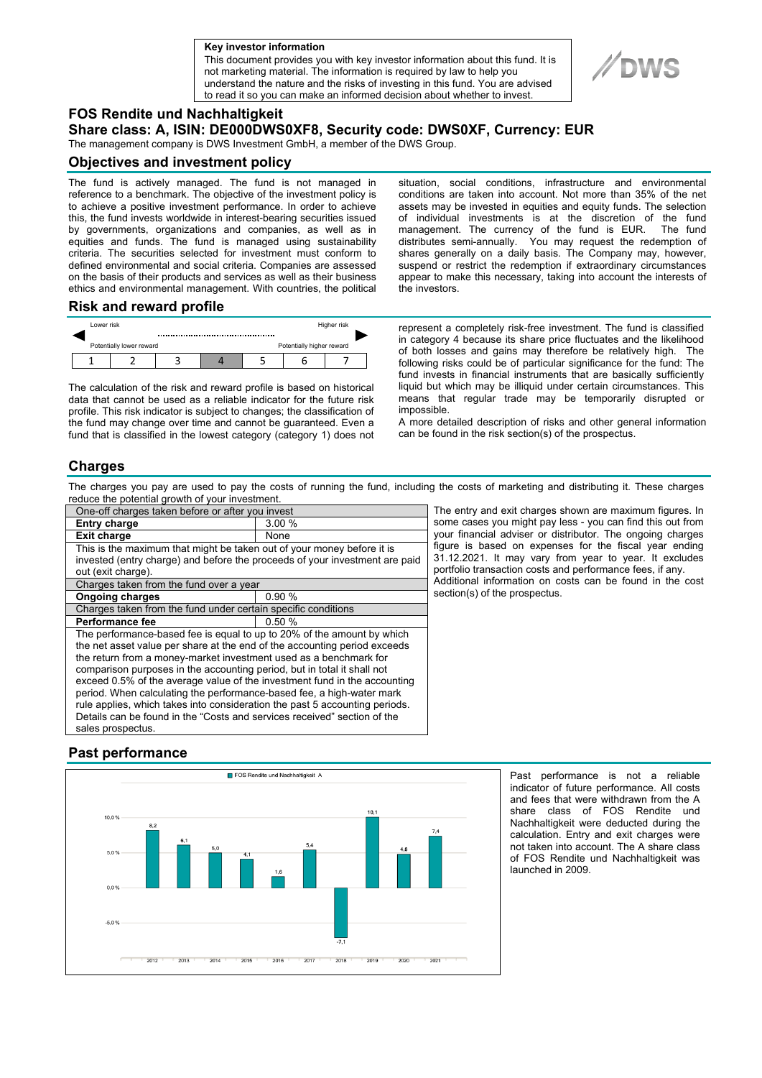**a Key investor information**

This document provides you with key investor information about this fund. It is not marketing material. The information is required by law to help you understand the nature and the risks of investing in this fund. You are advised to read it so you can make an informed decision about whether to invest.



### **FOS Rendite und Nachhaltigkeit**

**Share class: A, ISIN: DE000DWS0XF8, Security code: DWS0XF, Currency: EUR** 

The management company is DWS Investment GmbH, a member of the DWS Group.

#### **Objectives and investment policy**

The fund is actively managed. The fund is not managed in reference to a benchmark. The objective of the investment policy is to achieve a positive investment performance. In order to achieve this, the fund invests worldwide in interest-bearing securities issued by governments, organizations and companies, as well as in equities and funds. The fund is managed using sustainability criteria. The securities selected for investment must conform to defined environmental and social criteria. Companies are assessed on the basis of their products and services as well as their business ethics and environmental management. With countries, the political situation, social conditions, infrastructure and environmental conditions are taken into account. Not more than 35% of the net assets may be invested in equities and equity funds. The selection of individual investments is at the discretion of the fund management. The currency of the fund is EUR. distributes semi-annually. You may request the redemption of shares generally on a daily basis. The Company may, however, suspend or restrict the redemption if extraordinary circumstances appear to make this necessary, taking into account the interests of the investors.

#### **Risk and reward profile**



The calculation of the risk and reward profile is based on historical data that cannot be used as a reliable indicator for the future risk profile. This risk indicator is subject to changes; the classification of the fund may change over time and cannot be guaranteed. Even a fund that is classified in the lowest category (category 1) does not represent a completely risk-free investment. The fund is classified in category 4 because its share price fluctuates and the likelihood of both losses and gains may therefore be relatively high. The following risks could be of particular significance for the fund: The fund invests in financial instruments that are basically sufficiently liquid but which may be illiquid under certain circumstances. This means that regular trade may be temporarily disrupted or impossible.

A more detailed description of risks and other general information can be found in the risk section(s) of the prospectus.

## **Charges**

The charges you pay are used to pay the costs of running the fund, including the costs of marketing and distributing it. These charges reduce the potential growth of your investment.

| One-off charges taken before or after you invest                            |       |
|-----------------------------------------------------------------------------|-------|
| <b>Entry charge</b>                                                         | 3.00% |
| <b>Exit charge</b>                                                          | None  |
| This is the maximum that might be taken out of your money before it is      |       |
| invested (entry charge) and before the proceeds of your investment are paid |       |
| out (exit charge).                                                          |       |
| Charges taken from the fund over a year                                     |       |
| <b>Ongoing charges</b>                                                      | 0.90% |
| Charges taken from the fund under certain specific conditions               |       |
| Performance fee                                                             | 0.50% |
| The performance-based fee is equal to up to 20% of the amount by which      |       |
| the net asset value per share at the end of the accounting period exceeds   |       |
| the return from a money-market investment used as a benchmark for           |       |
| comparison purposes in the accounting period, but in total it shall not     |       |
| exceed 0.5% of the average value of the investment fund in the accounting   |       |
| period. When calculating the performance-based fee, a high-water mark       |       |
| rule applies, which takes into consideration the past 5 accounting periods. |       |
| Details can be found in the "Costs and services received" section of the    |       |
| sales prospectus.                                                           |       |

The entry and exit charges shown are maximum figures. In some cases you might pay less - you can find this out from your financial adviser or distributor. The ongoing charges figure is based on expenses for the fiscal year ending 31.12.2021. It may vary from year to year. It excludes portfolio transaction costs and performance fees, if any. Additional information on costs can be found in the cost section(s) of the prospectus.

# **Past performance**



Past performance is not a reliable indicator of future performance. All costs and fees that were withdrawn from the A share class of FOS Rendite und Nachhaltigkeit were deducted during the calculation. Entry and exit charges were not taken into account. The A share class of FOS Rendite und Nachhaltigkeit was launched in 2009.